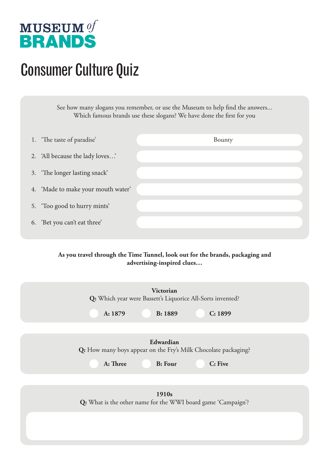

## Consumer Culture Quiz

See how many slogans you remember, or use the Museum to help find the answers... Which famous brands use these slogans? We have done the first for you

| 1. The taste of paradise'          | Bounty |
|------------------------------------|--------|
| 2. 'All because the lady loves'    |        |
| 3. 'The longer lasting snack'      |        |
| 4. 'Made to make your mouth water' |        |
| 5. 'Too good to hurry mints'       |        |
| 'Bet you can't eat three'<br>6.    |        |

## **As you travel through the Time Tunnel, look out for the brands, packaging and advertising-inspired clues…**

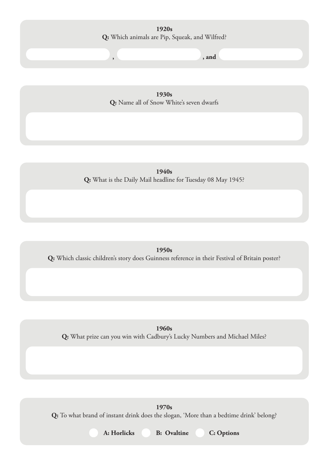**1920s Q:** Which animals are Pip, Squeak, and Wilfred?

**, , and**

**1930s Q:** Name all of Snow White's seven dwarfs

**1940s Q:** What is the Daily Mail headline for Tuesday 08 May 1945?

**1950s Q:** Which classic children's story does Guinness reference in their Festival of Britain poster?

**1960s Q:** What prize can you win with Cadbury's Lucky Numbers and Michael Miles?

**1970s Q:** To what brand of instant drink does the slogan, 'More than a bedtime drink' belong?

**A: Horlicks B: Ovaltine C: Options**